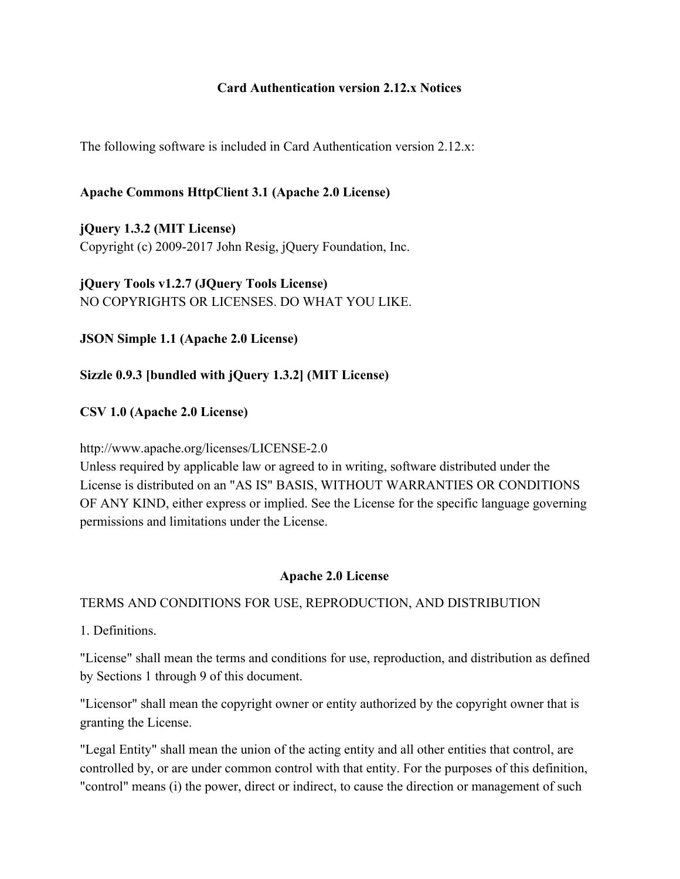## **Card Authentication version 2.12.x Notices**

The following software is included in Card Authentication version 2.12.x:

## **Apache Commons HttpClient 3.1 (Apache 2.0 License)**

**jQuery 1.3.2 (MIT License)** Copyright (c) 2009-2017 John Resig, jQuery Foundation, Inc.

**jQuery Tools v1.2.7 (JQuery Tools License)** NO COPYRIGHTS OR LICENSES. DO WHAT YOU LIKE.

**JSON Simple 1.1 (Apache 2.0 License)**

## **Sizzle 0.9.3 [bundled with jQuery 1.3.2] (MIT License)**

## **CSV 1.0 (Apache 2.0 License)**

### http://www.apache.org/licenses/LICENSE-2.0

Unless required by applicable law or agreed to in writing, software distributed under the License is distributed on an "AS IS" BASIS, WITHOUT WARRANTIES OR CONDITIONS OF ANY KIND, either express or implied. See the License for the specific language governing permissions and limitations under the License.

### **Apache 2.0 License**

### TERMS AND CONDITIONS FOR USE, REPRODUCTION, AND DISTRIBUTION

1. Definitions.

"License" shall mean the terms and conditions for use, reproduction, and distribution as defined by Sections 1 through 9 of this document.

"Licensor" shall mean the copyright owner or entity authorized by the copyright owner that is granting the License.

"Legal Entity" shall mean the union of the acting entity and all other entities that control, are controlled by, or are under common control with that entity. For the purposes of this definition, "control" means (i) the power, direct or indirect, to cause the direction or management of such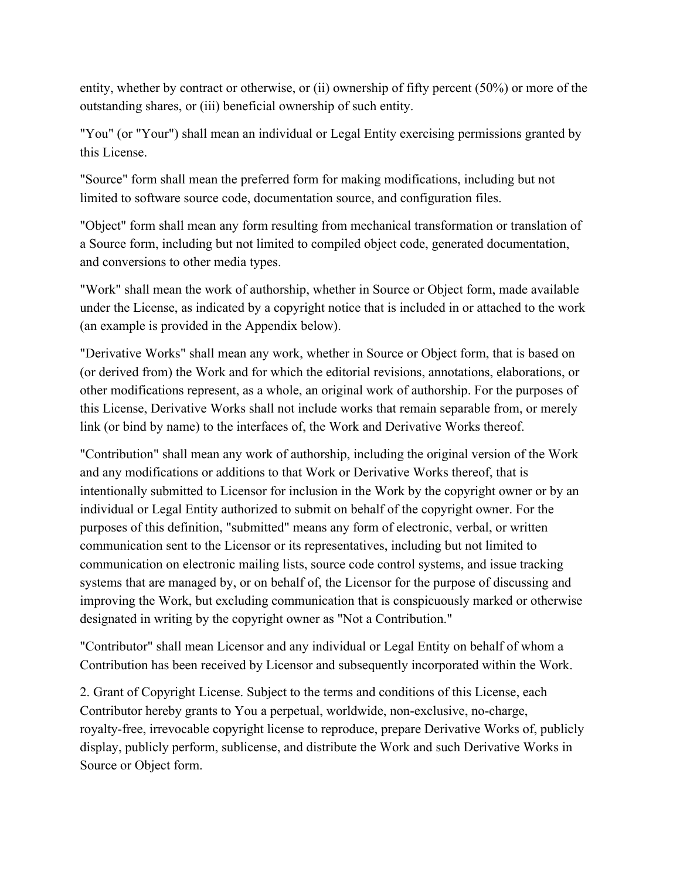entity, whether by contract or otherwise, or (ii) ownership of fifty percent (50%) or more of the outstanding shares, or (iii) beneficial ownership of such entity.

"You" (or "Your") shall mean an individual or Legal Entity exercising permissions granted by this License.

"Source" form shall mean the preferred form for making modifications, including but not limited to software source code, documentation source, and configuration files.

"Object" form shall mean any form resulting from mechanical transformation or translation of a Source form, including but not limited to compiled object code, generated documentation, and conversions to other media types.

"Work" shall mean the work of authorship, whether in Source or Object form, made available under the License, as indicated by a copyright notice that is included in or attached to the work (an example is provided in the Appendix below).

"Derivative Works" shall mean any work, whether in Source or Object form, that is based on (or derived from) the Work and for which the editorial revisions, annotations, elaborations, or other modifications represent, as a whole, an original work of authorship. For the purposes of this License, Derivative Works shall not include works that remain separable from, or merely link (or bind by name) to the interfaces of, the Work and Derivative Works thereof.

"Contribution" shall mean any work of authorship, including the original version of the Work and any modifications or additions to that Work or Derivative Works thereof, that is intentionally submitted to Licensor for inclusion in the Work by the copyright owner or by an individual or Legal Entity authorized to submit on behalf of the copyright owner. For the purposes of this definition, "submitted" means any form of electronic, verbal, or written communication sent to the Licensor or its representatives, including but not limited to communication on electronic mailing lists, source code control systems, and issue tracking systems that are managed by, or on behalf of, the Licensor for the purpose of discussing and improving the Work, but excluding communication that is conspicuously marked or otherwise designated in writing by the copyright owner as "Not a Contribution."

"Contributor" shall mean Licensor and any individual or Legal Entity on behalf of whom a Contribution has been received by Licensor and subsequently incorporated within the Work.

2. Grant of Copyright License. Subject to the terms and conditions of this License, each Contributor hereby grants to You a perpetual, worldwide, non-exclusive, no-charge, royalty-free, irrevocable copyright license to reproduce, prepare Derivative Works of, publicly display, publicly perform, sublicense, and distribute the Work and such Derivative Works in Source or Object form.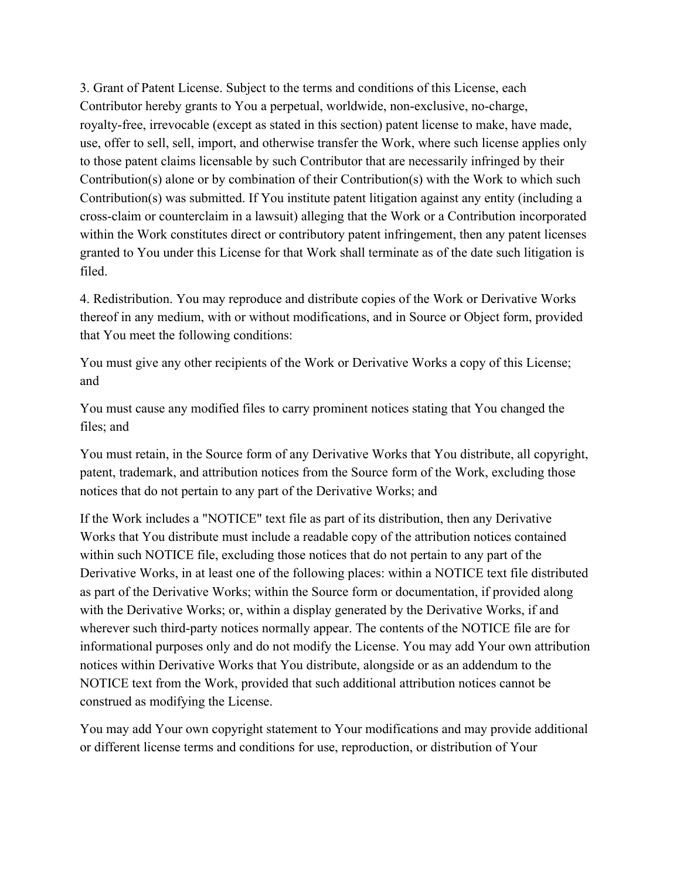3. Grant of Patent License. Subject to the terms and conditions of this License, each Contributor hereby grants to You a perpetual, worldwide, non-exclusive, no-charge, royalty-free, irrevocable (except as stated in this section) patent license to make, have made, use, offer to sell, sell, import, and otherwise transfer the Work, where such license applies only to those patent claims licensable by such Contributor that are necessarily infringed by their Contribution(s) alone or by combination of their Contribution(s) with the Work to which such Contribution(s) was submitted. If You institute patent litigation against any entity (including a cross-claim or counterclaim in a lawsuit) alleging that the Work or a Contribution incorporated within the Work constitutes direct or contributory patent infringement, then any patent licenses granted to You under this License for that Work shall terminate as of the date such litigation is filed.

4. Redistribution. You may reproduce and distribute copies of the Work or Derivative Works thereof in any medium, with or without modifications, and in Source or Object form, provided that You meet the following conditions:

You must give any other recipients of the Work or Derivative Works a copy of this License; and

You must cause any modified files to carry prominent notices stating that You changed the files; and

You must retain, in the Source form of any Derivative Works that You distribute, all copyright, patent, trademark, and attribution notices from the Source form of the Work, excluding those notices that do not pertain to any part of the Derivative Works; and

If the Work includes a "NOTICE" text file as part of its distribution, then any Derivative Works that You distribute must include a readable copy of the attribution notices contained within such NOTICE file, excluding those notices that do not pertain to any part of the Derivative Works, in at least one of the following places: within a NOTICE text file distributed as part of the Derivative Works; within the Source form or documentation, if provided along with the Derivative Works; or, within a display generated by the Derivative Works, if and wherever such third-party notices normally appear. The contents of the NOTICE file are for informational purposes only and do not modify the License. You may add Your own attribution notices within Derivative Works that You distribute, alongside or as an addendum to the NOTICE text from the Work, provided that such additional attribution notices cannot be construed as modifying the License.

You may add Your own copyright statement to Your modifications and may provide additional or different license terms and conditions for use, reproduction, or distribution of Your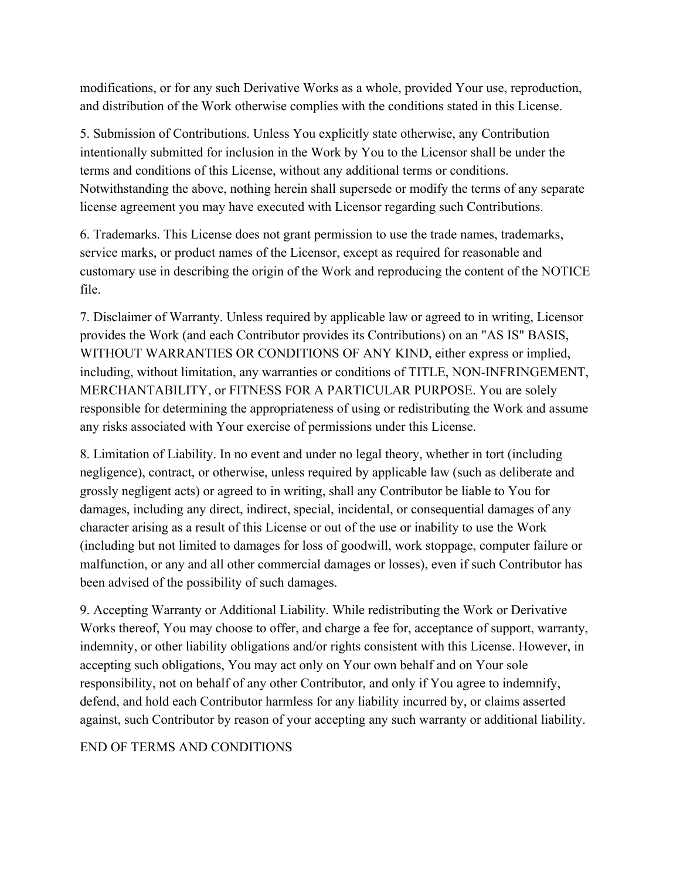modifications, or for any such Derivative Works as a whole, provided Your use, reproduction, and distribution of the Work otherwise complies with the conditions stated in this License.

5. Submission of Contributions. Unless You explicitly state otherwise, any Contribution intentionally submitted for inclusion in the Work by You to the Licensor shall be under the terms and conditions of this License, without any additional terms or conditions. Notwithstanding the above, nothing herein shall supersede or modify the terms of any separate license agreement you may have executed with Licensor regarding such Contributions.

6. Trademarks. This License does not grant permission to use the trade names, trademarks, service marks, or product names of the Licensor, except as required for reasonable and customary use in describing the origin of the Work and reproducing the content of the NOTICE file.

7. Disclaimer of Warranty. Unless required by applicable law or agreed to in writing, Licensor provides the Work (and each Contributor provides its Contributions) on an "AS IS" BASIS, WITHOUT WARRANTIES OR CONDITIONS OF ANY KIND, either express or implied, including, without limitation, any warranties or conditions of TITLE, NON-INFRINGEMENT, MERCHANTABILITY, or FITNESS FOR A PARTICULAR PURPOSE. You are solely responsible for determining the appropriateness of using or redistributing the Work and assume any risks associated with Your exercise of permissions under this License.

8. Limitation of Liability. In no event and under no legal theory, whether in tort (including negligence), contract, or otherwise, unless required by applicable law (such as deliberate and grossly negligent acts) or agreed to in writing, shall any Contributor be liable to You for damages, including any direct, indirect, special, incidental, or consequential damages of any character arising as a result of this License or out of the use or inability to use the Work (including but not limited to damages for loss of goodwill, work stoppage, computer failure or malfunction, or any and all other commercial damages or losses), even if such Contributor has been advised of the possibility of such damages.

9. Accepting Warranty or Additional Liability. While redistributing the Work or Derivative Works thereof, You may choose to offer, and charge a fee for, acceptance of support, warranty, indemnity, or other liability obligations and/or rights consistent with this License. However, in accepting such obligations, You may act only on Your own behalf and on Your sole responsibility, not on behalf of any other Contributor, and only if You agree to indemnify, defend, and hold each Contributor harmless for any liability incurred by, or claims asserted against, such Contributor by reason of your accepting any such warranty or additional liability.

# END OF TERMS AND CONDITIONS